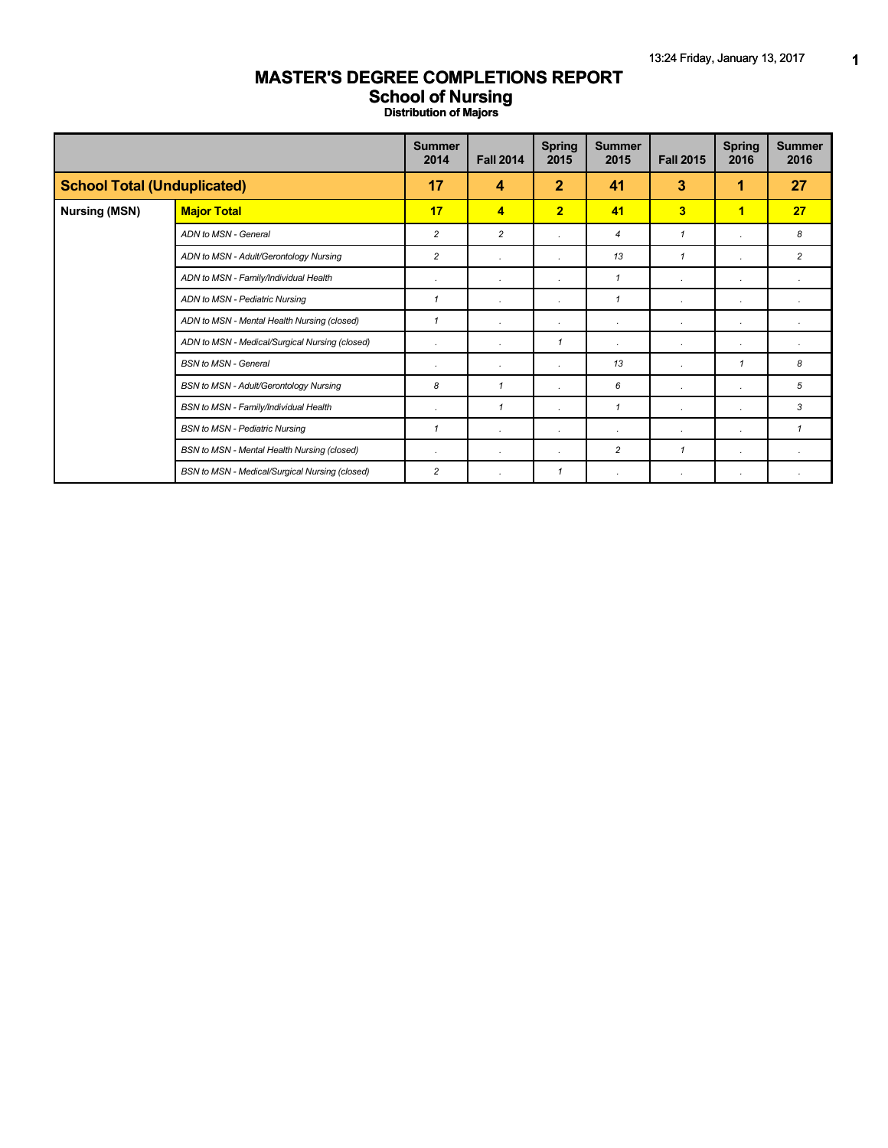## **MASTER'S DEGREE COMPLETIONS REPORT School of Nursing**

**Distribution of Majors**

|                                    |                                                | <b>Summer</b><br>2014 | <b>Fall 2014</b> | <b>Spring</b><br>2015 | <b>Summer</b><br>2015 | <b>Fall 2015</b>        | <b>Spring</b><br>2016 | <b>Summer</b><br>2016 |
|------------------------------------|------------------------------------------------|-----------------------|------------------|-----------------------|-----------------------|-------------------------|-----------------------|-----------------------|
| <b>School Total (Unduplicated)</b> |                                                | 17                    | 4                | $\mathbf{2}$          | 41                    | 3                       | 1                     | 27                    |
| <b>Nursing (MSN)</b>               | <b>Major Total</b>                             | 17                    | $\overline{4}$   | $\overline{2}$        | 41                    | $\overline{\mathbf{3}}$ | 1                     | 27                    |
|                                    | ADN to MSN - General                           | 2                     | $\overline{c}$   | $\cdot$               | 4                     | $\mathbf{1}$            | $\cdot$               | 8                     |
|                                    | ADN to MSN - Adult/Gerontology Nursing         | $\overline{c}$        |                  |                       | 13                    | $\mathbf{1}$            | $\lambda$             | $\overline{c}$        |
|                                    | ADN to MSN - Family/Individual Health          | ٠                     |                  | $\cdot$               | $\mathbf{1}$          | $\cdot$                 | $\cdot$               |                       |
|                                    | ADN to MSN - Pediatric Nursing                 | 1                     |                  | $\cdot$               | $\mathbf{1}$          | $\cdot$                 | $\cdot$               |                       |
|                                    | ADN to MSN - Mental Health Nursing (closed)    | $\mathbf{1}$          |                  | $\cdot$               | ٠                     | $\cdot$                 | $\cdot$               |                       |
|                                    | ADN to MSN - Medical/Surgical Nursing (closed) | ٠                     |                  | $\mathcal I$          | ٠                     | $\cdot$                 | $\cdot$               |                       |
|                                    | <b>BSN</b> to MSN - General                    | $\epsilon$            |                  | $\cdot$               | 13                    | $\cdot$                 | $\mathbf 1$           | 8                     |
|                                    | BSN to MSN - Adult/Gerontology Nursing         | 8                     | $\mathbf{1}$     | $\cdot$               | 6                     | $\cdot$                 | $\cdot$               | 5                     |
|                                    | BSN to MSN - Family/Individual Health          | $\epsilon$            | $\mathbf{1}$     | $\cdot$               | $\mathbf{1}$          | $\cdot$                 | $\cdot$               | 3                     |
|                                    | <b>BSN to MSN - Pediatric Nursing</b>          | $\mathbf{1}$          |                  | $\cdot$               | ٠                     | $\cdot$                 | $\cdot$               | $\mathbf{1}$          |
|                                    | BSN to MSN - Mental Health Nursing (closed)    | ٠                     | $\cdot$          | $\cdot$               | $\overline{c}$        | $\mathbf{1}$            | $\cdot$               |                       |
|                                    | BSN to MSN - Medical/Surgical Nursing (closed) | 2                     |                  | $\mathcal I$          | $\cdot$               | $\cdot$                 | $\cdot$               |                       |